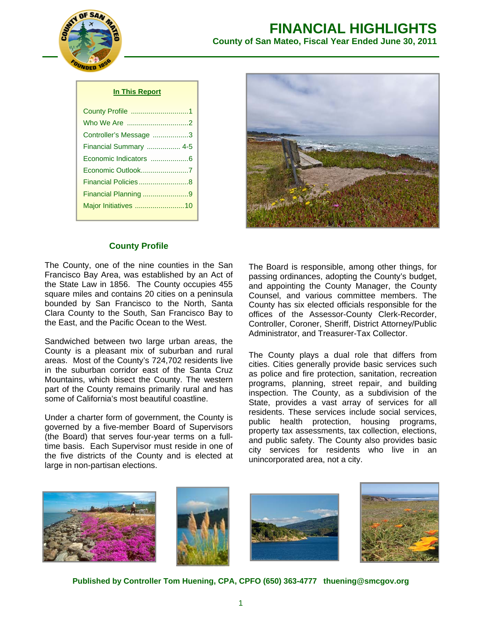

# **FINANCIAL HIGHLIGHTS County of San Mateo, Fiscal Year Ended June 30, 2011**

#### **In This Report**

| County Profile 1       |
|------------------------|
|                        |
| Controller's Message 3 |
| Financial Summary  4-5 |
| Economic Indicators 6  |
| Economic Outlook7      |
| Financial Policies 8   |
| Financial Planning 9   |
| Major Initiatives 10   |
|                        |



## **County Profile**

The County, one of the nine counties in the San Francisco Bay Area, was established by an Act of the State Law in 1856. The County occupies 455 square miles and contains 20 cities on a peninsula bounded by San Francisco to the North, Santa Clara County to the South, San Francisco Bay to the East, and the Pacific Ocean to the West.

Sandwiched between two large urban areas, the County is a pleasant mix of suburban and rural areas. Most of the County's 724,702 residents live in the suburban corridor east of the Santa Cruz Mountains, which bisect the County. The western part of the County remains primarily rural and has some of California's most beautiful coastline.

Under a charter form of government, the County is governed by a five-member Board of Supervisors (the Board) that serves four-year terms on a fulltime basis. Each Supervisor must reside in one of the five districts of the County and is elected at large in non-partisan elections.

The Board is responsible, among other things, for passing ordinances, adopting the County's budget, and appointing the County Manager, the County Counsel, and various committee members. The County has six elected officials responsible for the offices of the Assessor-County Clerk-Recorder, Controller, Coroner, Sheriff, District Attorney/Public Administrator, and Treasurer-Tax Collector.

The County plays a dual role that differs from cities. Cities generally provide basic services such as police and fire protection, sanitation, recreation programs, planning, street repair, and building inspection. The County, as a subdivision of the State, provides a vast array of services for all residents. These services include social services, public health protection, housing programs, property tax assessments, tax collection, elections, and public safety. The County also provides basic city services for residents who live in an unincorporated area, not a city.



**Published by Controller Tom Huening, CPA, CPFO (650) 363-4777 thuening@smcgov.org**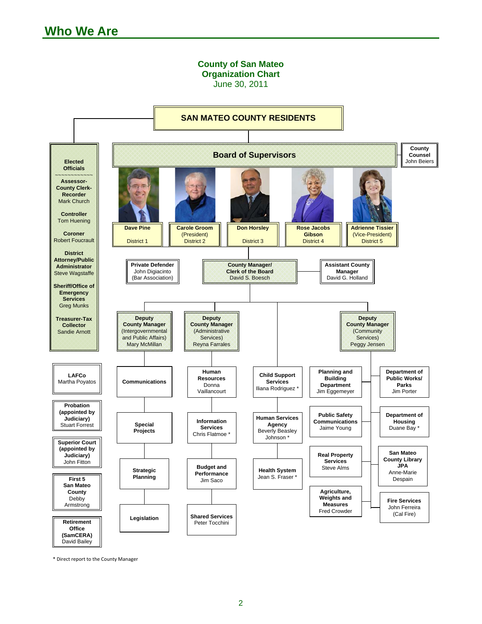

\* Direct report to the County Manager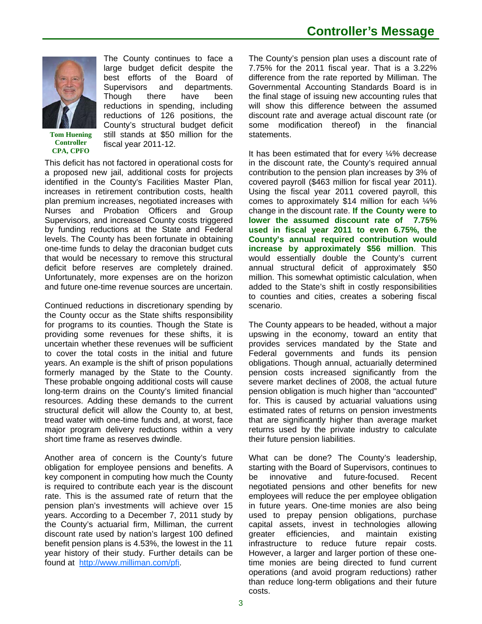

**Tom Huening Controller CPA, CPFO** 

The County continues to face a large budget deficit despite the best efforts of the Board of Supervisors and departments. Though there have been reductions in spending, including reductions of 126 positions, the County's structural budget deficit still stands at \$50 million for the fiscal year 2011-12.

This deficit has not factored in operational costs for a proposed new jail, additional costs for projects identified in the County's Facilities Master Plan, increases in retirement contribution costs, health plan premium increases, negotiated increases with Nurses and Probation Officers and Group Supervisors, and increased County costs triggered by funding reductions at the State and Federal levels. The County has been fortunate in obtaining one-time funds to delay the draconian budget cuts that would be necessary to remove this structural deficit before reserves are completely drained. Unfortunately, more expenses are on the horizon and future one-time revenue sources are uncertain.

Continued reductions in discretionary spending by the County occur as the State shifts responsibility for programs to its counties. Though the State is providing some revenues for these shifts, it is uncertain whether these revenues will be sufficient to cover the total costs in the initial and future years. An example is the shift of prison populations formerly managed by the State to the County. These probable ongoing additional costs will cause long-term drains on the County's limited financial resources. Adding these demands to the current structural deficit will allow the County to, at best, tread water with one-time funds and, at worst, face major program delivery reductions within a very short time frame as reserves dwindle.

Another area of concern is the County's future obligation for employee pensions and benefits. A key component in computing how much the County is required to contribute each year is the discount rate. This is the assumed rate of return that the pension plan's investments will achieve over 15 years. According to a December 7, 2011 study by the County's actuarial firm, Milliman, the current discount rate used by nation's largest 100 defined benefit pension plans is 4.53%, the lowest in the 11 year history of their study. Further details can be found at http://www.milliman.com/pfi.

The County's pension plan uses a discount rate of 7.75% for the 2011 fiscal year. That is a 3.22% difference from the rate reported by Milliman. The Governmental Accounting Standards Board is in the final stage of issuing new accounting rules that will show this difference between the assumed discount rate and average actual discount rate (or some modification thereof) in the financial statements.

It has been estimated that for every ¼% decrease in the discount rate, the County's required annual contribution to the pension plan increases by 3% of covered payroll (\$463 million for fiscal year 2011). Using the fiscal year 2011 covered payroll, this comes to approximately \$14 million for each ¼% change in the discount rate. **If the County were to lower the assumed discount rate of 7.75% used in fiscal year 2011 to even 6.75%, the County's annual required contribution would increase by approximately \$56 million**. This would essentially double the County's current annual structural deficit of approximately \$50 million. This somewhat optimistic calculation, when added to the State's shift in costly responsibilities to counties and cities, creates a sobering fiscal scenario.

The County appears to be headed, without a major upswing in the economy, toward an entity that provides services mandated by the State and Federal governments and funds its pension obligations. Though annual, actuarially determined pension costs increased significantly from the severe market declines of 2008, the actual future pension obligation is much higher than "accounted" for. This is caused by actuarial valuations using estimated rates of returns on pension investments that are significantly higher than average market returns used by the private industry to calculate their future pension liabilities.

What can be done? The County's leadership, starting with the Board of Supervisors, continues to be innovative and future-focused. Recent negotiated pensions and other benefits for new employees will reduce the per employee obligation in future years. One-time monies are also being used to prepay pension obligations, purchase capital assets, invest in technologies allowing greater efficiencies, and maintain existing infrastructure to reduce future repair costs. However, a larger and larger portion of these onetime monies are being directed to fund current operations (and avoid program reductions) rather than reduce long-term obligations and their future costs.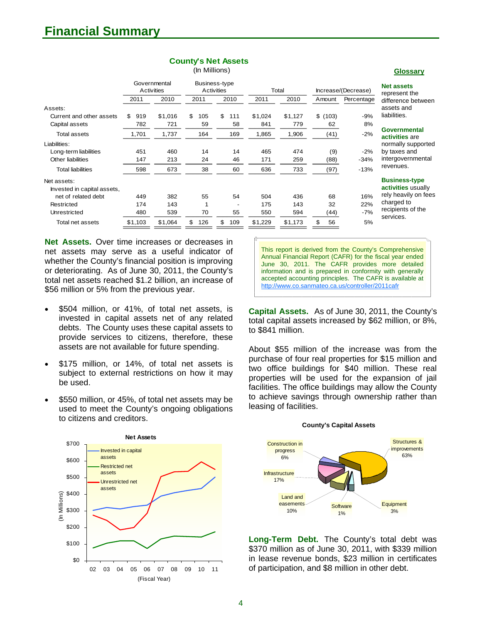| <b>County's Net Assets</b> |  |  |  |
|----------------------------|--|--|--|
|----------------------------|--|--|--|

| (In Millions) |
|---------------|

|                             | Activities | Governmental |           | Business-type<br><b>Activities</b><br>Total |         |         | Increase/(Decrease) |            | <b>Net assets</b><br>represent |
|-----------------------------|------------|--------------|-----------|---------------------------------------------|---------|---------|---------------------|------------|--------------------------------|
|                             | 2011       | 2010         | 2011      | 2010                                        | 2011    | 2010    | Amount              | Percentage | difference                     |
| Assets:                     |            |              |           |                                             |         |         |                     |            | assets and                     |
| Current and other assets    | \$<br>919  | \$1,016      | \$<br>105 | \$<br>111                                   | \$1,024 | \$1,127 | \$(103)             | $-9%$      | liabilities.                   |
| Capital assets              | 782        | 721          | 59        | 58                                          | 841     | 779     | 62                  | 8%         |                                |
| Total assets                | 1,701      | 1,737        | 164       | 169                                         | 1,865   | 1,906   | (41)                | $-2%$      | Governme<br>activities         |
| Liabilities:                |            |              |           |                                             |         |         |                     |            | normally s                     |
| Long-term liabilities       | 451        | 460          | 14        | 14                                          | 465     | 474     | (9)                 | $-2%$      | by taxes a                     |
| Other liabilities           | 147        | 213          | 24        | 46                                          | 171     | 259     | (88)                | $-34%$     | intergover                     |
| <b>Total liabilities</b>    | 598        | 673          | 38        | 60                                          | 636     | 733     | (97)                | $-13%$     | revenues.                      |
| Net assets:                 |            |              |           |                                             |         |         |                     |            | <b>Business</b>                |
| Invested in capital assets, |            |              |           |                                             |         |         |                     |            | <b>activities</b>              |
| net of related debt         | 449        | 382          | 55        | 54                                          | 504     | 436     | 68                  | 16%        | rely heavil                    |
| Restricted                  | 174        | 143          |           |                                             | 175     | 143     | 32                  | 22%        | charged to                     |
| Unrestricted                | 480        | 539          | 70        | 55                                          | 550     | 594     | (44)                | $-7%$      | recipients<br>services.        |
| Total net assets            | \$1,103    | \$1,064      | 126<br>\$ | \$<br>109                                   | \$1,229 | \$1,173 | 56<br>\$            | 5%         |                                |

**Net Assets.** Over time increases or decreases in net assets may serve as a useful indicator of whether the County's financial position is improving or deteriorating. As of June 30, 2011, the County's total net assets reached \$1.2 billion, an increase of \$56 million or 5% from the previous year.

- \$504 million, or 41%, of total net assets, is invested in capital assets net of any related debts. The County uses these capital assets to provide services to citizens, therefore, these assets are not available for future spending.
- \$175 million, or 14%, of total net assets is subject to external restrictions on how it may be used.
- \$550 million, or 45%, of total net assets may be used to meet the County's ongoing obligations to citizens and creditors.



This report is derived from the County's Comprehensive Annual Financial Report (CAFR) for the fiscal year ended June 30, 2011. The CAFR provides more detailed information and is prepared in conformity with generally accepted accounting principles. The CAFR is available at http://www.co.sanmateo.ca.us/controller/2011cafr

**Capital Assets.** As of June 30, 2011, the County's total capital assets increased by \$62 million, or 8%, to \$841 million.

About \$55 million of the increase was from the purchase of four real properties for \$15 million and two office buildings for \$40 million. These real properties will be used for the expansion of jail facilities. The office buildings may allow the County to achieve savings through ownership rather than leasing of facilities.

#### **County's Capital Assets Equipment** Structures & **improvements** 63% Construction in progress 6% Land and easements **Infrastructure** 17%

**Software** 1%

10%

**Long-Term Debt.** The County's total debt was \$370 million as of June 30, 2011, with \$339 million in lease revenue bonds, \$23 million in certificates of participation, and \$8 million in other debt.

3%

#### **Glossary**

**Net assets** 

it the e between hd

**nental** 

**s** are supported and ernmental

#### **S-type**

**s** usually rily on fees  $t_0$ s of the services.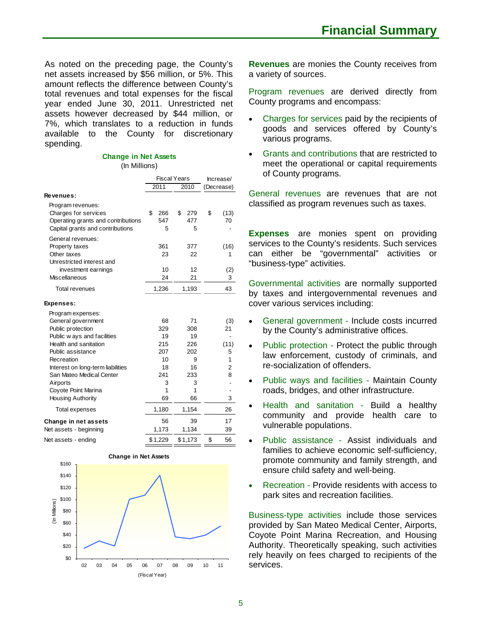As noted on the preceding page, the County's net assets increased by \$56 million, or 5%. This amount reflects the difference between County's total revenues and total expenses for the fiscal year ended June 30, 2011. Unrestricted net assets however decreased by \$44 million, or 7%, which translates to a reduction in funds available to the County for discretionary spending.

# **Change in Net Assets**

#### (In Millions)

|                                                                        |           | <b>Fiscal Years</b> | Increase/      |  |
|------------------------------------------------------------------------|-----------|---------------------|----------------|--|
|                                                                        | 2011      | 2010                | (Decrease)     |  |
| Revenues:                                                              |           |                     |                |  |
| Program revenues:<br>Charges for services                              | \$<br>266 | \$<br>279           | \$<br>(13)     |  |
| Operating grants and contributions<br>Capital grants and contributions | 547<br>5  | 477<br>5            | 70             |  |
| General revenues:                                                      |           |                     |                |  |
| Property taxes                                                         | 361       | 377                 | (16)           |  |
| Other taxes                                                            | 23        | 22                  | 1              |  |
| Unrestricted interest and                                              |           |                     |                |  |
| investment earnings                                                    | 10        | 12                  | (2)            |  |
| Miscellaneous                                                          | 24        | 21                  | 3              |  |
| <b>Total revenues</b>                                                  | 1,236     | 1,193               | 43             |  |
| Expenses:                                                              |           |                     |                |  |
| Program expenses:                                                      |           |                     |                |  |
| General government                                                     | 68        | 71                  | (3)            |  |
| Public protection                                                      | 329       | 308                 | 21             |  |
| Public w ays and facilities                                            | 19        | 19                  |                |  |
| Health and sanitation                                                  | 215       | 226                 | (11)           |  |
| Public assistance                                                      | 207       | 202                 | 5              |  |
| Recreation                                                             | 10        | 9                   | 1              |  |
| Interest on long-term liabilities                                      | 18        | 16                  | $\overline{2}$ |  |
| San Mateo Medical Center                                               | 241       | 233                 | 8              |  |
| Airports                                                               | 3         | 3                   |                |  |
| Coyote Point Marina                                                    | 1         | 1                   |                |  |
| <b>Housing Authority</b>                                               | 69        | 66                  | 3              |  |
| <b>Total expenses</b>                                                  | 1,180     | 1,154               | 26             |  |
| Change in net assets                                                   | 56        | 39                  | 17             |  |
| Net assets - beginning                                                 | 1,173     | 1,134               | 39             |  |
| Net assets - ending                                                    | \$1,229   | \$1,173             | \$<br>56       |  |



#### **Change in Net Assets**

**Revenues** are monies the County receives from a variety of sources.

Program revenues are derived directly from County programs and encompass:

- Charges for services paid by the recipients of goods and services offered by County's various programs.
- Grants and contributions that are restricted to meet the operational or capital requirements of County programs.

General revenues are revenues that are not classified as program revenues such as taxes.

**Expenses** are monies spent on providing services to the County's residents. Such services can either be "governmental" activities or "business-type" activities.

Governmental activities are normally supported by taxes and intergovernmental revenues and cover various services including:

- General government Include costs incurred by the County's administrative offices.
- Public protection Protect the public through law enforcement, custody of criminals, and re-socialization of offenders.
- Public ways and facilities Maintain County roads, bridges, and other infrastructure.
- Health and sanitation Build a healthy community and provide health care to vulnerable populations.
- Public assistance Assist individuals and families to achieve economic self-sufficiency, promote community and family strength, and ensure child safety and well-being.
- Recreation Provide residents with access to park sites and recreation facilities.

Business-type activities include those services provided by San Mateo Medical Center, Airports, Coyote Point Marina Recreation, and Housing Authority. Theoretically speaking, such activities rely heavily on fees charged to recipients of the services.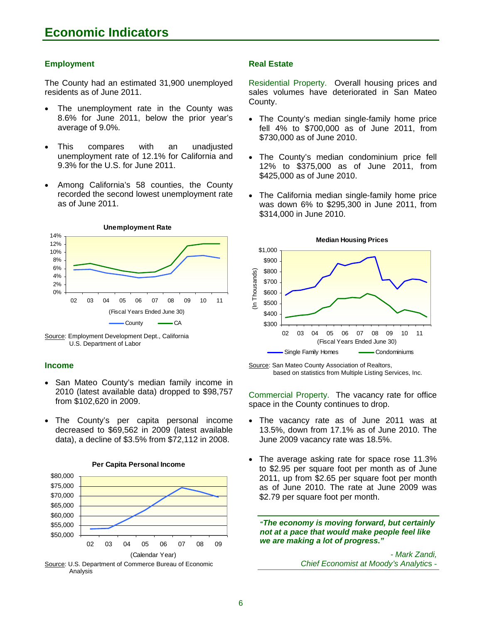#### **Employment**

The County had an estimated 31,900 unemployed residents as of June 2011.

- The unemployment rate in the County was 8.6% for June 2011, below the prior year's average of 9.0%.
- This compares with an unadjusted unemployment rate of 12.1% for California and 9.3% for the U.S. for June 2011.
- Among California's 58 counties, the County recorded the second lowest unemployment rate as of June 2011.





#### **Income**

- San Mateo County's median family income in 2010 (latest available data) dropped to \$98,757 from \$102,620 in 2009.
- The County's per capita personal income decreased to \$69,562 in 2009 (latest available data), a decline of \$3.5% from \$72,112 in 2008.



#### **Per Capita Personal Income**

#### **Real Estate**

Residential Property. Overall housing prices and sales volumes have deteriorated in San Mateo County.

- The County's median single-family home price fell 4% to \$700,000 as of June 2011, from \$730,000 as of June 2010.
- The County's median condominium price fell 12% to \$375,000 as of June 2011, from \$425,000 as of June 2010.
- The California median single-family home price was down 6% to \$295,300 in June 2011, from \$314,000 in June 2010.



Source: San Mateo County Association of Realtors, based on statistics from Multiple Listing Services, Inc.

Commercial Property. The vacancy rate for office space in the County continues to drop.

- The vacancy rate as of June 2011 was at 13.5%, down from 17.1% as of June 2010. The June 2009 vacancy rate was 18.5%.
- The average asking rate for space rose 11.3% to \$2.95 per square foot per month as of June 2011, up from \$2.65 per square foot per month as of June 2010. The rate at June 2009 was \$2.79 per square foot per month.

*"The economy is moving forward, but certainly not at a pace that would make people feel like we are making a lot of progress."* 

> *- Mark Zandi, Chief Economist at Moody's Analytic*s -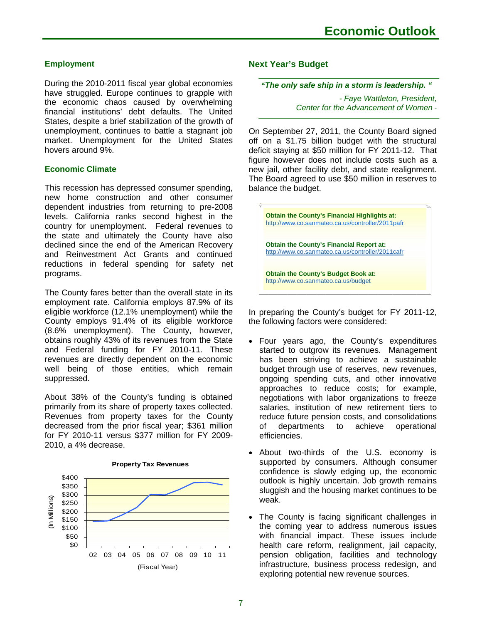## **Employment**

During the 2010-2011 fiscal year global economies have struggled. Europe continues to grapple with the economic chaos caused by overwhelming financial institutions' debt defaults. The United States, despite a brief stabilization of the growth of unemployment, continues to battle a stagnant job market. Unemployment for the United States hovers around 9%.

## **Economic Climate**

This recession has depressed consumer spending, new home construction and other consumer dependent industries from returning to pre-2008 levels. California ranks second highest in the country for unemployment. Federal revenues to the state and ultimately the County have also declined since the end of the American Recovery and Reinvestment Act Grants and continued reductions in federal spending for safety net programs.

The County fares better than the overall state in its employment rate. California employs 87.9% of its eligible workforce (12.1% unemployment) while the County employs 91.4% of its eligible workforce (8.6% unemployment). The County, however, obtains roughly 43% of its revenues from the State and Federal funding for FY 2010-11. These revenues are directly dependent on the economic well being of those entities, which remain suppressed.

About 38% of the County's funding is obtained primarily from its share of property taxes collected. Revenues from property taxes for the County decreased from the prior fiscal year; \$361 million for FY 2010-11 versus \$377 million for FY 2009- 2010, a 4% decrease.



#### **Property Tax Revenues**

#### **Next Year's Budget**

#### *"The only safe ship in a storm is leadership. "*

*- Faye Wattleton, President, Center for the Advancement of Women* -

On September 27, 2011, the County Board signed off on a \$1.75 billion budget with the structural deficit staying at \$50 million for FY 2011-12. That figure however does not include costs such as a new jail, other facility debt, and state realignment. The Board agreed to use \$50 million in reserves to balance the budget.



In preparing the County's budget for FY 2011-12, the following factors were considered:

- Four years ago, the County's expenditures started to outgrow its revenues. Management has been striving to achieve a sustainable budget through use of reserves, new revenues, ongoing spending cuts, and other innovative approaches to reduce costs; for example, negotiations with labor organizations to freeze salaries, institution of new retirement tiers to reduce future pension costs, and consolidations of departments to achieve operational efficiencies.
- About two-thirds of the U.S. economy is supported by consumers. Although consumer confidence is slowly edging up, the economic outlook is highly uncertain. Job growth remains sluggish and the housing market continues to be weak.
- The County is facing significant challenges in the coming year to address numerous issues with financial impact. These issues include health care reform, realignment, jail capacity, pension obligation, facilities and technology infrastructure, business process redesign, and exploring potential new revenue sources.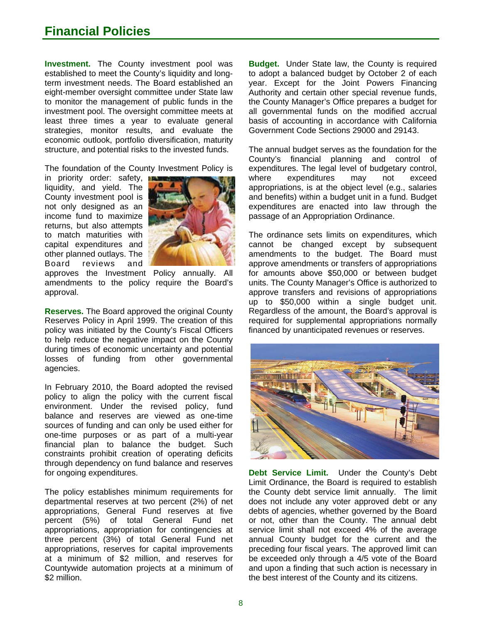# **Financial Policies**

**Investment.** The County investment pool was established to meet the County's liquidity and longterm investment needs. The Board established an eight-member oversight committee under State law to monitor the management of public funds in the investment pool. The oversight committee meets at least three times a year to evaluate general strategies, monitor results, and evaluate the economic outlook, portfolio diversification, maturity structure, and potential risks to the invested funds.

The foundation of the County Investment Policy is

in priority order: safety, **In** liquidity, and yield. The County investment pool is not only designed as an income fund to maximize returns, but also attempts to match maturities with capital expenditures and other planned outlays. The Board reviews and



approves the Investment Policy annually. All amendments to the policy require the Board's approval.

**Reserves.** The Board approved the original County Reserves Policy in April 1999. The creation of this policy was initiated by the County's Fiscal Officers to help reduce the negative impact on the County during times of economic uncertainty and potential losses of funding from other governmental agencies.

In February 2010, the Board adopted the revised policy to align the policy with the current fiscal environment. Under the revised policy, fund balance and reserves are viewed as one-time sources of funding and can only be used either for one-time purposes or as part of a multi-year financial plan to balance the budget. Such constraints prohibit creation of operating deficits through dependency on fund balance and reserves for ongoing expenditures.

The policy establishes minimum requirements for departmental reserves at two percent (2%) of net appropriations, General Fund reserves at five percent (5%) of total General Fund net appropriations, appropriation for contingencies at three percent (3%) of total General Fund net appropriations, reserves for capital improvements at a minimum of \$2 million, and reserves for Countywide automation projects at a minimum of \$2 million.

**Budget.** Under State law, the County is required to adopt a balanced budget by October 2 of each year. Except for the Joint Powers Financing Authority and certain other special revenue funds, the County Manager's Office prepares a budget for all governmental funds on the modified accrual basis of accounting in accordance with California Government Code Sections 29000 and 29143.

The annual budget serves as the foundation for the County's financial planning and control of expenditures. The legal level of budgetary control, where expenditures may not exceed appropriations, is at the object level (e.g., salaries and benefits) within a budget unit in a fund. Budget expenditures are enacted into law through the passage of an Appropriation Ordinance.

The ordinance sets limits on expenditures, which cannot be changed except by subsequent amendments to the budget. The Board must approve amendments or transfers of appropriations for amounts above \$50,000 or between budget units. The County Manager's Office is authorized to approve transfers and revisions of appropriations up to \$50,000 within a single budget unit. Regardless of the amount, the Board's approval is required for supplemental appropriations normally financed by unanticipated revenues or reserves.



**Debt Service Limit.** Under the County's Debt Limit Ordinance, the Board is required to establish the County debt service limit annually. The limit does not include any voter approved debt or any debts of agencies, whether governed by the Board or not, other than the County. The annual debt service limit shall not exceed 4% of the average annual County budget for the current and the preceding four fiscal years. The approved limit can be exceeded only through a 4/5 vote of the Board and upon a finding that such action is necessary in the best interest of the County and its citizens.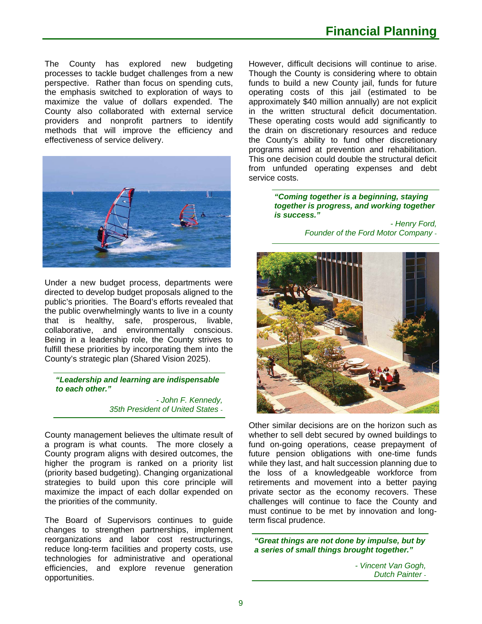The County has explored new budgeting processes to tackle budget challenges from a new perspective. Rather than focus on spending cuts, the emphasis switched to exploration of ways to maximize the value of dollars expended. The County also collaborated with external service providers and nonprofit partners to identify methods that will improve the efficiency and effectiveness of service delivery.



Under a new budget process, departments were directed to develop budget proposals aligned to the public's priorities. The Board's efforts revealed that the public overwhelmingly wants to live in a county that is healthy, safe, prosperous, livable, collaborative, and environmentally conscious. Being in a leadership role, the County strives to fulfill these priorities by incorporating them into the County's strategic plan (Shared Vision 2025).

*"Leadership and learning are indispensable to each other."* 

> *- John F. Kennedy, 35th President of United States* -

County management believes the ultimate result of a program is what counts. The more closely a County program aligns with desired outcomes, the higher the program is ranked on a priority list (priority based budgeting). Changing organizational strategies to build upon this core principle will maximize the impact of each dollar expended on the priorities of the community.

The Board of Supervisors continues to guide changes to strengthen partnerships, implement reorganizations and labor cost restructurings, reduce long-term facilities and property costs, use technologies for administrative and operational efficiencies, and explore revenue generation opportunities.

However, difficult decisions will continue to arise. Though the County is considering where to obtain funds to build a new County jail, funds for future operating costs of this jail (estimated to be approximately \$40 million annually) are not explicit in the written structural deficit documentation. These operating costs would add significantly to the drain on discretionary resources and reduce the County's ability to fund other discretionary programs aimed at prevention and rehabilitation. This one decision could double the structural deficit from unfunded operating expenses and debt service costs.

> *"Coming together is a beginning, staying together is progress, and working together is success."*

> > *- Henry Ford, Founder of the Ford Motor Company* -



Other similar decisions are on the horizon such as whether to sell debt secured by owned buildings to fund on-going operations, cease prepayment of future pension obligations with one-time funds while they last, and halt succession planning due to the loss of a knowledgeable workforce from retirements and movement into a better paying private sector as the economy recovers. These challenges will continue to face the County and must continue to be met by innovation and longterm fiscal prudence.

*"Great things are not done by impulse, but by a series of small things brought together."* 

> *- Vincent Van Gogh, Dutch Painter* -